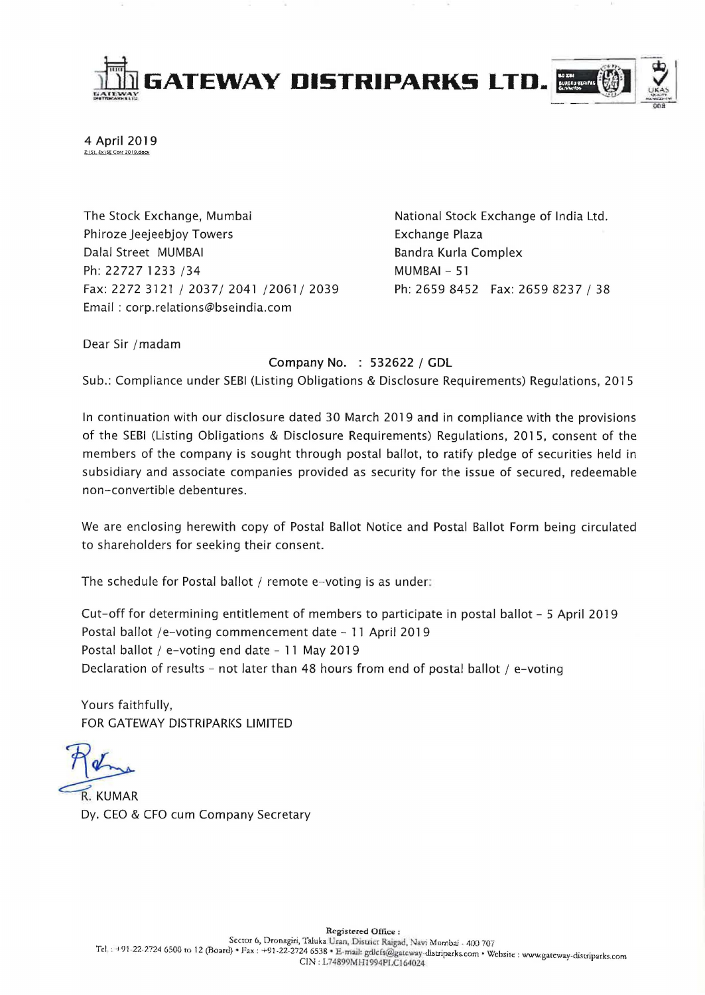

4 April 2019 Z:\St. £x\SE Corr 2019.docx

The Stock Exchange, Mumbai Phiroze Jeejeebjoy Towers Dalal Street MUMBAI Ph: 22727 1233 / 34 Fax: 2272 3121/2037/2041/2061/2039 Email : corp.relations@bseindia.com

National Stock Exchange of India Ltd. Exchange Plaza Bandra Kurla Complex MUMBAI - 51 Ph: 2659 8452 Fax: 2659 8237 / 38

Dear Sir /madam

Company No. : 532622 / GDL

Sub.: Compliance under SEBI (Listing Obligations & Disclosure Requirements) Regulations, 2015

In continuation with our disclosure dated 30 March 2019 and in compliance with the provisions of the SEBI (Listing Obligations & Disclosure Requirements) Regulations, 2015, consent of the members of the company is sought through postal ballot, to ratify pledge of securities held in subsidiary and associate companies provided as security for the issue of secured, redeemable non-convertible debentures.

We are enclosing herewith copy of Postal Ballot Notice and Postal Ballot Form being circulated to shareholders for seeking their consent.

The schedule for Postal ballot / remote e-voting is as under:

Cut-off for determining entitlement of members to participate in postal ballot - 5 April 2019 Postal ballot /e-voting commencement date  $-11$  April 2019 Postal ballot / e-voting end date - 11 May 2019 Declaration of results - not later than 48 hours from end of postal ballot / e-voting

Yours faithfully, FOR GATEWAY DISTRIPARKS LIMITED

R. KUMAR<br>Dy. CEO & CFO cum Company Secretary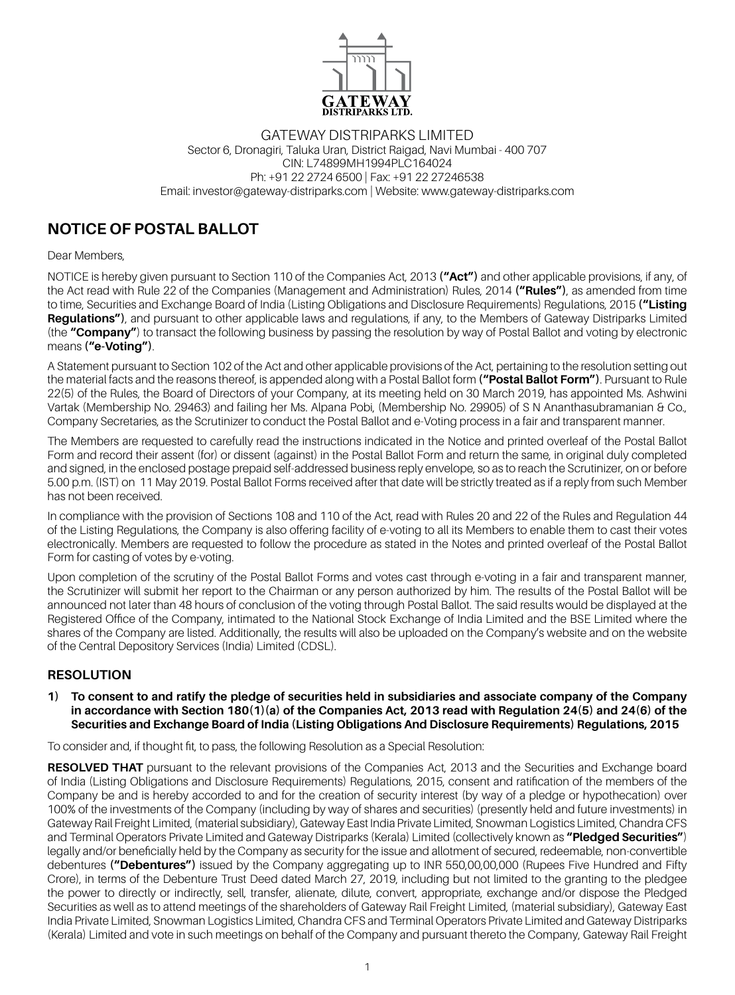

#### Gateway distriparks Limited Sector 6, Dronagiri, Taluka Uran, District Raigad, Navi Mumbai - 400 707 CIN: L74899MH1994PLC164024 Ph: +91 22 2724 6500 | Fax: +91 22 27246538 Email: investor@gateway-distriparks.com | Website: www.gateway-distriparks.com

## **NOTICE OF POSTAL BALLOT**

Dear Members,

NOTICE is hereby given pursuant to Section 110 of the Companies Act, 2013 **("Act")** and other applicable provisions, if any, of the Act read with Rule 22 of the Companies (Management and Administration) Rules, 2014 **("Rules")**, as amended from time to time, Securities and Exchange Board of India (Listing Obligations and Disclosure Requirements) Regulations, 2015 **("Listing Regulations")**, and pursuant to other applicable laws and regulations, if any, to the Members of Gateway Distriparks Limited (the **"Company"**) to transact the following business by passing the resolution by way of Postal Ballot and voting by electronic means **("e-Voting")**.

A Statement pursuant to Section 102 of the Act and other applicable provisions of the Act, pertaining to the resolution setting out the material facts and the reasons thereof, is appended along with a Postal Ballot form **("Postal Ballot Form")**. Pursuant to Rule 22(5) of the Rules, the Board of Directors of your Company, at its meeting held on 30 March 2019, has appointed Ms. Ashwini Vartak (Membership No. 29463) and failing her Ms. Alpana Pobi, (Membership No. 29905) of S N Ananthasubramanian & Co., Company Secretaries, as the Scrutinizer to conduct the Postal Ballot and e-Voting process in a fair and transparent manner.

The Members are requested to carefully read the instructions indicated in the Notice and printed overleaf of the Postal Ballot Form and record their assent (for) or dissent (against) in the Postal Ballot Form and return the same, in original duly completed and signed, in the enclosed postage prepaid self-addressed business reply envelope, so as to reach the Scrutinizer, on or before 5.00 p.m. (IST) on 11 May 2019. Postal Ballot Forms received after that date will be strictly treated as if a reply from such Member has not been received.

In compliance with the provision of Sections 108 and 110 of the Act, read with Rules 20 and 22 of the Rules and Regulation 44 of the Listing Regulations, the Company is also offering facility of e-voting to all its Members to enable them to cast their votes electronically. Members are requested to follow the procedure as stated in the Notes and printed overleaf of the Postal Ballot Form for casting of votes by e-voting.

Upon completion of the scrutiny of the Postal Ballot Forms and votes cast through e-voting in a fair and transparent manner, the Scrutinizer will submit her report to the Chairman or any person authorized by him. The results of the Postal Ballot will be announced not later than 48 hours of conclusion of the voting through Postal Ballot. The said results would be displayed at the Registered Office of the Company, intimated to the National Stock Exchange of India Limited and the BSE Limited where the shares of the Company are listed. Additionally, the results will also be uploaded on the Company's website and on the website of the Central Depository Services (India) Limited (CDSL).

## **RESOLUTION**

#### **1) To consent to and ratify the pledge of securities held in subsidiaries and associate company of the Company in accordance with Section 180(1)(a) of the Companies Act, 2013 read with Regulation 24(5) and 24(6) of the Securities and Exchange Board of India (Listing Obligations And Disclosure Requirements) Regulations, 2015**

To consider and, if thought fit, to pass, the following Resolution as a Special Resolution:

**RESOLVED THAT** pursuant to the relevant provisions of the Companies Act, 2013 and the Securities and Exchange board of India (Listing Obligations and Disclosure Requirements) Regulations, 2015, consent and ratification of the members of the Company be and is hereby accorded to and for the creation of security interest (by way of a pledge or hypothecation) over 100% of the investments of the Company (including by way of shares and securities) (presently held and future investments) in Gateway Rail Freight Limited, (material subsidiary), Gateway East India Private Limited, Snowman Logistics Limited, Chandra CFS and Terminal Operators Private Limited and Gateway Distriparks (Kerala) Limited (collectively known as **"Pledged Securities"**) legally and/or beneficially held by the Company as security for the issue and allotment of secured, redeemable, non-convertible debentures **("Debentures")** issued by the Company aggregating up to INR 550,00,00,000 (Rupees Five Hundred and Fifty Crore), in terms of the Debenture Trust Deed dated March 27, 2019, including but not limited to the granting to the pledgee the power to directly or indirectly, sell, transfer, alienate, dilute, convert, appropriate, exchange and/or dispose the Pledged Securities as well as to attend meetings of the shareholders of Gateway Rail Freight Limited, (material subsidiary), Gateway East India Private Limited, Snowman Logistics Limited, Chandra CFS and Terminal Operators Private Limited and Gateway Distriparks (Kerala) Limited and vote in such meetings on behalf of the Company and pursuant thereto the Company, Gateway Rail Freight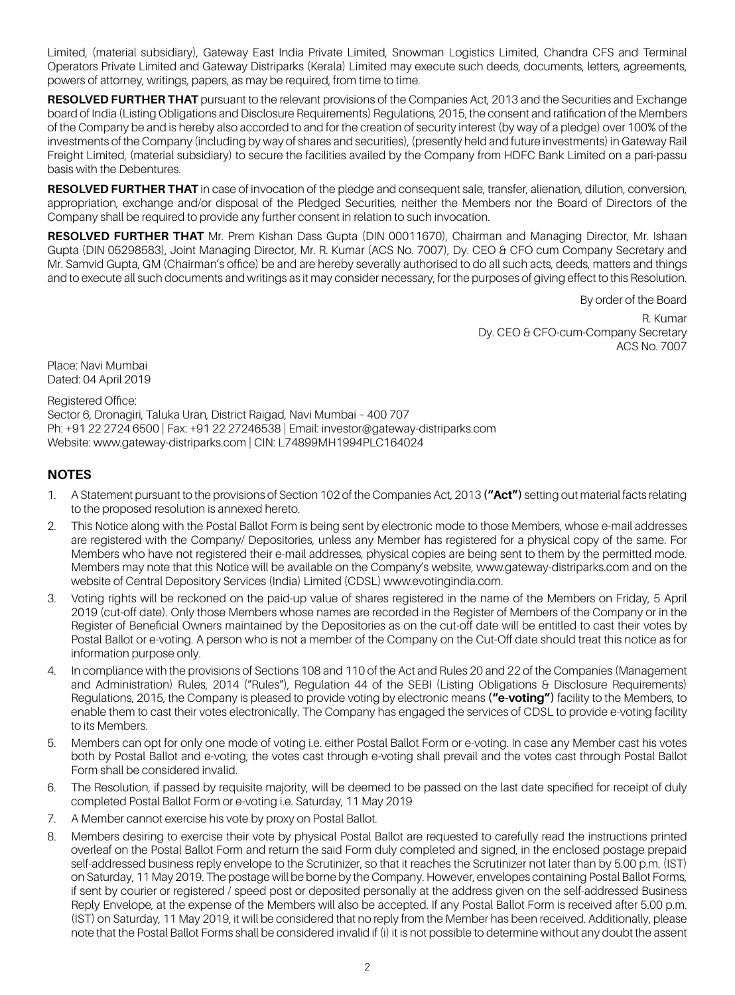Limited, (material subsidiary), Gateway East India Private Limited, Snowman Logistics Limited, Chandra CFS and Terminal Operators Private Limited and Gateway Distriparks (Kerala) Limited may execute such deeds, documents, letters, agreements, powers of attorney, writings, papers, as may be required, from time to time.

**RESOLVED FURTHER THAT** pursuant to the relevant provisions of the Companies Act, 2013 and the Securities and Exchange board of India (Listing Obligations and Disclosure Requirements) Regulations, 2015, the consent and ratification of the Members of the Company be and is hereby also accorded to and for the creation of security interest (by way of a pledge) over 100% of the investments of the Company (including by way of shares and securities), (presently held and future investments) in Gateway Rail Freight Limited, (material subsidiary) to secure the facilities availed by the Company from HDFC Bank Limited on a pari-passu basis with the Debentures.

**RESOLVED FURTHER THAT** in case of invocation of the pledge and consequent sale, transfer, alienation, dilution, conversion, appropriation, exchange and/or disposal of the Pledged Securities, neither the Members nor the Board of Directors of the Company shall be required to provide any further consent in relation to such invocation.

**RESOLVED FURTHER that** Mr. Prem Kishan Dass Gupta (DIN 00011670), Chairman and Managing Director, Mr. Ishaan Gupta (DIN 05298583), Joint Managing Director, Mr. R. Kumar (ACS No. 7007), Dy. CEO & CFO cum Company Secretary and Mr. Samvid Gupta, GM (Chairman's office) be and are hereby severally authorised to do all such acts, deeds, matters and things and to execute all such documents and writings as it may consider necessary, for the purposes of giving effect to this Resolution.

By order of the Board

R. Kumar Dy. CEO & CFO-cum-Company Secretary ACS No. 7007

Place: Navi Mumbai Dated: 04 April 2019

Registered Office: Sector 6, Dronagiri, Taluka Uran, District Raigad, Navi Mumbai – 400 707 Ph: +91 22 2724 6500 | Fax: +91 22 27246538 | Email: investor@gateway-distriparks.com Website: www.gateway-distriparks.com | CIN: L74899MH1994PLC164024

## **NOTES**

- 1. A Statement pursuant to the provisions of Section 102 of the Companies Act, 2013 **("Act")** setting out material facts relating to the proposed resolution is annexed hereto.
- 2. This Notice along with the Postal Ballot Form is being sent by electronic mode to those Members, whose e-mail addresses are registered with the Company/ Depositories, unless any Member has registered for a physical copy of the same. For Members who have not registered their e-mail addresses, physical copies are being sent to them by the permitted mode. Members may note that this Notice will be available on the Company's website, www.gateway-distriparks.com and on the website of Central Depository Services (India) Limited (CDSL) www.evotingindia.com.
- 3. Voting rights will be reckoned on the paid-up value of shares registered in the name of the Members on Friday, 5 April 2019 (cut-off date). Only those Members whose names are recorded in the Register of Members of the Company or in the Register of Beneficial Owners maintained by the Depositories as on the cut-off date will be entitled to cast their votes by Postal Ballot or e-voting. A person who is not a member of the Company on the Cut-Off date should treat this notice as for information purpose only.
- 4. In compliance with the provisions of Sections 108 and 110 of the Act and Rules 20 and 22 of the Companies (Management and Administration) Rules, 2014 ("Rules"), Regulation 44 of the SEBI (Listing Obligations & Disclosure Requirements) Regulations, 2015, the Company is pleased to provide voting by electronic means **("e-voting")** facility to the Members, to enable them to cast their votes electronically. The Company has engaged the services of CDSL to provide e-voting facility to its Members.
- 5. Members can opt for only one mode of voting i.e. either Postal Ballot Form or e-voting. In case any Member cast his votes both by Postal Ballot and e-voting, the votes cast through e-voting shall prevail and the votes cast through Postal Ballot Form shall be considered invalid.
- 6. The Resolution, if passed by requisite majority, will be deemed to be passed on the last date specified for receipt of duly completed Postal Ballot Form or e-voting i.e. Saturday, 11 May 2019
- 7. A Member cannot exercise his vote by proxy on Postal Ballot.
- 8. Members desiring to exercise their vote by physical Postal Ballot are requested to carefully read the instructions printed overleaf on the Postal Ballot Form and return the said Form duly completed and signed, in the enclosed postage prepaid self-addressed business reply envelope to the Scrutinizer, so that it reaches the Scrutinizer not later than by 5.00 p.m. (IST) on Saturday, 11 May 2019. The postage will be borne by the Company. However, envelopes containing Postal Ballot Forms, if sent by courier or registered / speed post or deposited personally at the address given on the self-addressed Business Reply Envelope, at the expense of the Members will also be accepted. If any Postal Ballot Form is received after 5.00 p.m. (IST) on Saturday, 11 May 2019, it will be considered that no reply from the Member has been received. Additionally, please note that the Postal Ballot Forms shall be considered invalid if (i) it is not possible to determine without any doubt the assent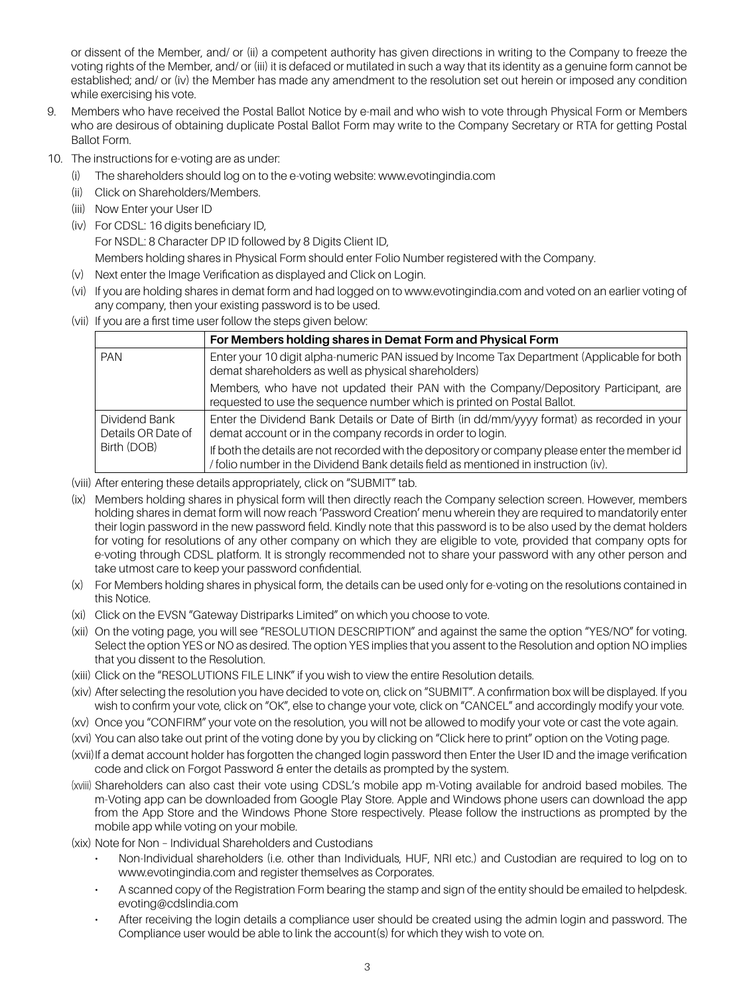or dissent of the Member, and/ or (ii) a competent authority has given directions in writing to the Company to freeze the voting rights of the Member, and/ or (iii) it is defaced or mutilated in such a way that its identity as a genuine form cannot be established; and/ or (iv) the Member has made any amendment to the resolution set out herein or imposed any condition while exercising his vote.

- Members who have received the Postal Ballot Notice by e-mail and who wish to vote through Physical Form or Members who are desirous of obtaining duplicate Postal Ballot Form may write to the Company Secretary or RTA for getting Postal Ballot Form.
- 10. The instructions for e-voting are as under:
	- (i) The shareholders should log on to the e-voting website: www.evotingindia.com
	- (ii) Click on Shareholders/Members.
	- (iii) Now Enter your User ID
	- (iv) For CDSL: 16 digits beneficiary ID, For NSDL: 8 Character DP ID followed by 8 Digits Client ID, Members holding shares in Physical Form should enter Folio Number registered with the Company.
	- (v) Next enter the Image Verification as displayed and Click on Login.
	- (vi) If you are holding shares in demat form and had logged on to www.evotingindia.com and voted on an earlier voting of any company, then your existing password is to be used.
	- (vii) If you are a first time user follow the steps given below:

|                                     | For Members holding shares in Demat Form and Physical Form                                                                                                                            |  |  |
|-------------------------------------|---------------------------------------------------------------------------------------------------------------------------------------------------------------------------------------|--|--|
| <b>PAN</b>                          | Enter your 10 digit alpha-numeric PAN issued by Income Tax Department (Applicable for both<br>demat shareholders as well as physical shareholders)                                    |  |  |
|                                     | Members, who have not updated their PAN with the Company/Depository Participant, are<br>requested to use the sequence number which is printed on Postal Ballot.                       |  |  |
| Dividend Bank<br>Details OR Date of | Enter the Dividend Bank Details or Date of Birth (in dd/mm/yyyy format) as recorded in your<br>demat account or in the company records in order to login.                             |  |  |
| Birth (DOB)                         | If both the details are not recorded with the depository or company please enter the member id<br>/ folio number in the Dividend Bank details field as mentioned in instruction (iv). |  |  |

- (viii) After entering these details appropriately, click on "SUBMIT" tab.
- (ix) Members holding shares in physical form will then directly reach the Company selection screen. However, members holding shares in demat form will now reach 'Password Creation' menu wherein they are required to mandatorily enter their login password in the new password field. Kindly note that this password is to be also used by the demat holders for voting for resolutions of any other company on which they are eligible to vote, provided that company opts for e-voting through CDSL platform. It is strongly recommended not to share your password with any other person and take utmost care to keep your password confidential.
- (x) For Members holding shares in physical form, the details can be used only for e-voting on the resolutions contained in this Notice.
- (xi) Click on the EVSN "Gateway Distriparks Limited" on which you choose to vote.
- (xii) On the voting page, you will see "RESOLUTION DESCRIPTION" and against the same the option "YES/NO" for voting. Select the option YES or NO as desired. The option YES implies that you assent to the Resolution and option NO implies that you dissent to the Resolution.
- (xiii) Click on the "RESOLUTIONS FILE LINK" if you wish to view the entire Resolution details.
- (xiv) After selecting the resolution you have decided to vote on, click on "SUBMIT". A confirmation box will be displayed. If you wish to confirm your vote, click on "OK", else to change your vote, click on "CANCEL" and accordingly modify your vote.
- (xv) Once you "CONFIRM" your vote on the resolution, you will not be allowed to modify your vote or cast the vote again.
- (xvi) You can also take out print of the voting done by you by clicking on "Click here to print" option on the Voting page.
- (xvii) If a demat account holder has forgotten the changed login password then Enter the User ID and the image verification code and click on Forgot Password & enter the details as prompted by the system.
- (xviii) Shareholders can also cast their vote using CDSL's mobile app m-Voting available for android based mobiles. The m-Voting app can be downloaded from Google Play Store. Apple and Windows phone users can download the app from the App Store and the Windows Phone Store respectively. Please follow the instructions as prompted by the mobile app while voting on your mobile.
- (xix) Note for Non Individual Shareholders and Custodians
	- Non-Individual shareholders (i.e. other than Individuals, HUF, NRI etc.) and Custodian are required to log on to www.evotingindia.com and register themselves as Corporates.
	- A scanned copy of the Registration Form bearing the stamp and sign of the entity should be emailed to helpdesk. evoting@cdslindia.com
	- After receiving the login details a compliance user should be created using the admin login and password. The Compliance user would be able to link the account(s) for which they wish to vote on.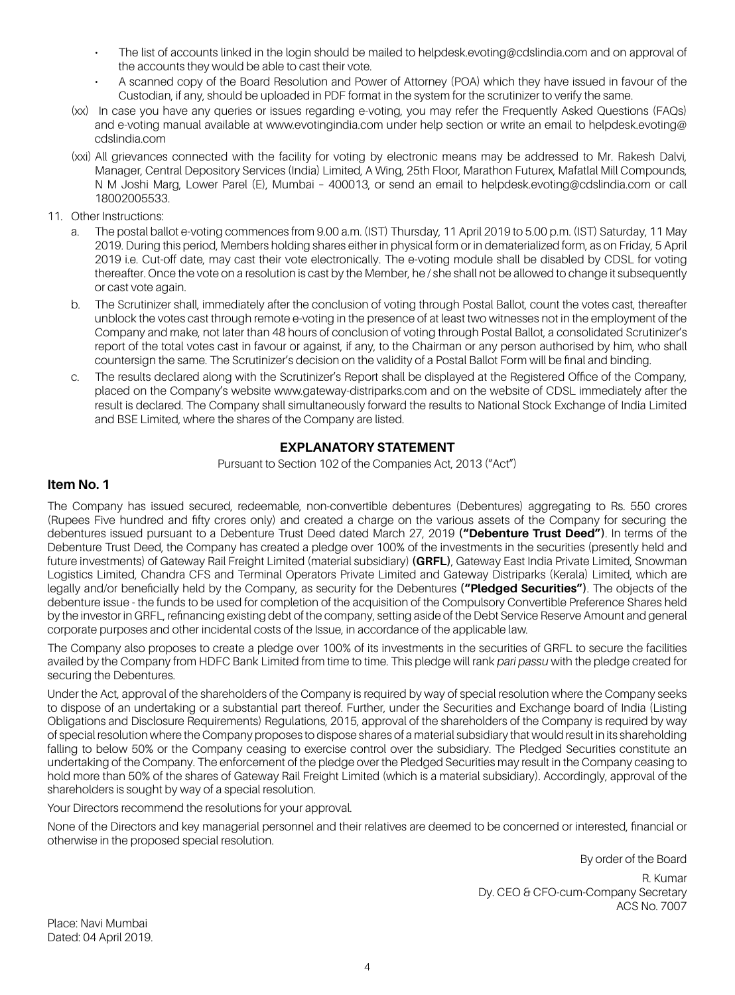- The list of accounts linked in the login should be mailed to helpdesk.evoting@cdslindia.com and on approval of the accounts they would be able to cast their vote.
- A scanned copy of the Board Resolution and Power of Attorney (POA) which they have issued in favour of the Custodian, if any, should be uploaded in PDF format in the system for the scrutinizer to verify the same.
- (xx) In case you have any queries or issues regarding e-voting, you may refer the Frequently Asked Questions (FAQs) and e-voting manual available at www.evotingindia.com under help section or write an email to helpdesk.evoting@ cdslindia.com
- (xxi) All grievances connected with the facility for voting by electronic means may be addressed to Mr. Rakesh Dalvi, Manager, Central Depository Services (India) Limited, A Wing, 25th Floor, Marathon Futurex, Mafatlal Mill Compounds, N M Joshi Marg, Lower Parel (E), Mumbai – 400013, or send an email to helpdesk.evoting@cdslindia.com or call 18002005533.
- 11. Other Instructions:
	- a. The postal ballot e-voting commences from 9.00 a.m. (IST) Thursday, 11 April 2019 to 5.00 p.m. (IST) Saturday, 11 May 2019. During this period, Members holding shares either in physical form or in dematerialized form, as on Friday, 5 April 2019 i.e. Cut-off date, may cast their vote electronically. The e-voting module shall be disabled by CDSL for voting thereafter. Once the vote on a resolution is cast by the Member, he / she shall not be allowed to change it subsequently or cast vote again.
	- b. The Scrutinizer shall, immediately after the conclusion of voting through Postal Ballot, count the votes cast, thereafter unblock the votes cast through remote e-voting in the presence of at least two witnesses not in the employment of the Company and make, not later than 48 hours of conclusion of voting through Postal Ballot, a consolidated Scrutinizer's report of the total votes cast in favour or against, if any, to the Chairman or any person authorised by him, who shall countersign the same. The Scrutinizer's decision on the validity of a Postal Ballot Form will be final and binding.
	- c. The results declared along with the Scrutinizer's Report shall be displayed at the Registered Office of the Company, placed on the Company's website www.gateway-distriparks.com and on the website of CDSL immediately after the result is declared. The Company shall simultaneously forward the results to National Stock Exchange of India Limited and BSE Limited, where the shares of the Company are listed.

### **EXPLANATORY STATEMENT**

Pursuant to Section 102 of the Companies Act, 2013 ("Act")

#### **Item No. 1**

The Company has issued secured, redeemable, non-convertible debentures (Debentures) aggregating to Rs. 550 crores (Rupees Five hundred and fifty crores only) and created a charge on the various assets of the Company for securing the debentures issued pursuant to a Debenture Trust Deed dated March 27, 2019 **("Debenture Trust Deed")**. In terms of the Debenture Trust Deed, the Company has created a pledge over 100% of the investments in the securities (presently held and future investments) of Gateway Rail Freight Limited (material subsidiary) **(GRFL)**, Gateway East India Private Limited, Snowman Logistics Limited, Chandra CFS and Terminal Operators Private Limited and Gateway Distriparks (Kerala) Limited, which are legally and/or beneficially held by the Company, as security for the Debentures **("Pledged Securities")**. The objects of the debenture issue - the funds to be used for completion of the acquisition of the Compulsory Convertible Preference Shares held by the investor in GRFL, refinancing existing debt of the company, setting aside of the Debt Service Reserve Amount and general corporate purposes and other incidental costs of the Issue, in accordance of the applicable law.

The Company also proposes to create a pledge over 100% of its investments in the securities of GRFL to secure the facilities availed by the Company from HDFC Bank Limited from time to time. This pledge will rank *pari passu* with the pledge created for securing the Debentures.

Under the Act, approval of the shareholders of the Company is required by way of special resolution where the Company seeks to dispose of an undertaking or a substantial part thereof. Further, under the Securities and Exchange board of India (Listing Obligations and Disclosure Requirements) Regulations, 2015, approval of the shareholders of the Company is required by way of special resolution where the Company proposes to dispose shares of a material subsidiary that would result in its shareholding falling to below 50% or the Company ceasing to exercise control over the subsidiary. The Pledged Securities constitute an undertaking of the Company. The enforcement of the pledge over the Pledged Securities may result in the Company ceasing to hold more than 50% of the shares of Gateway Rail Freight Limited (which is a material subsidiary). Accordingly, approval of the shareholders is sought by way of a special resolution.

Your Directors recommend the resolutions for your approval.

None of the Directors and key managerial personnel and their relatives are deemed to be concerned or interested, financial or otherwise in the proposed special resolution.

By order of the Board

R. Kumar Dy. CEO & CFO-cum-Company Secretary ACS No. 7007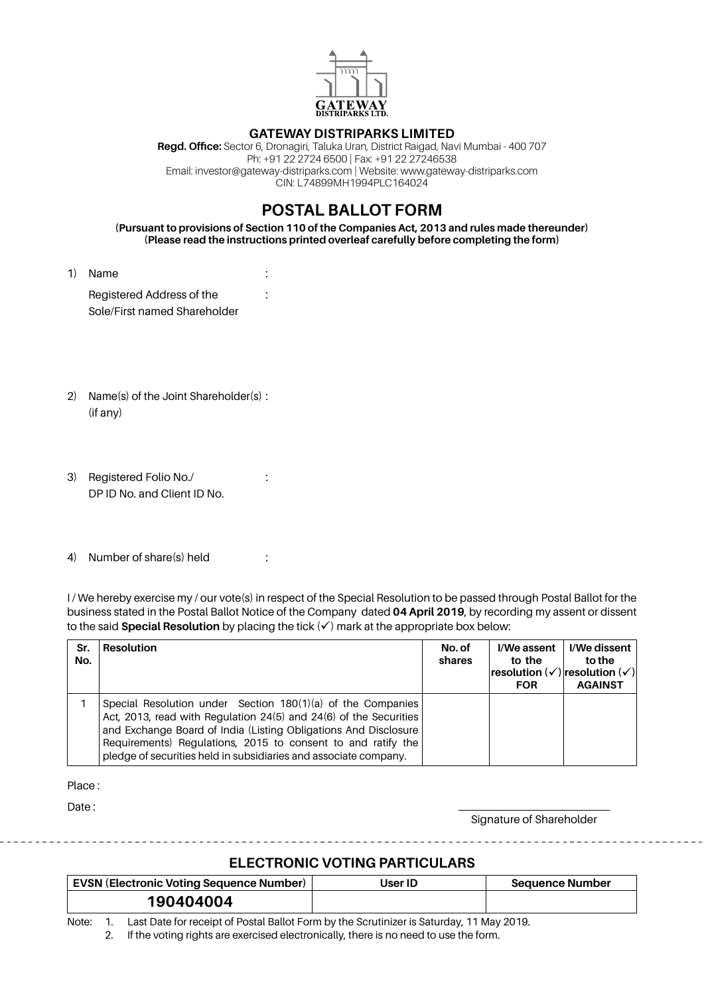

#### **Gateway distriparks Limited**

**Regd. Office:** Sector 6, Dronagiri, Taluka Uran, District Raigad, Navi Mumbai - 400 707 Ph: +91 22 2724 6500 | Fax: +91 22 27246538 Email: investor@gateway-distriparks.com | Website: www.gateway-distriparks.com CIN: L74899MH1994PLC164024

# **POSTAL BALLOT FORM**

**(Pursuant to provisions of Section 110 of the Companies Act, 2013 and rules made thereunder) (Please read the instructions printed overleaf carefully before completing the form)**

1) Name : Registered Address of the :

Sole/First named Shareholder

- 2) Name(s) of the Joint Shareholder(s) : (if any)
- 3) Registered Folio No./ : DP ID No. and Client ID No.
- 4) Number of share(s) held :

I/ We hereby exercise my / our vote(s) in respect of the Special Resolution to be passed through Postal Ballot for the business stated in the Postal Ballot Notice of the Company dated **04 April 2019**, by recording my assent or dissent to the said **Special Resolution** by placing the tick  $(v)$  mark at the appropriate box below:

| Sr.<br>No. | <b>Resolution</b>                                                                                                                                                                                                                                                                                                                       | No. of<br>shares | I/We assent<br>to the<br>resolution $(\checkmark)$ resolution $(\checkmark)$<br><b>FOR</b> | I/We dissent  <br>to the<br><b>AGAINST</b> |
|------------|-----------------------------------------------------------------------------------------------------------------------------------------------------------------------------------------------------------------------------------------------------------------------------------------------------------------------------------------|------------------|--------------------------------------------------------------------------------------------|--------------------------------------------|
|            | Special Resolution under Section 180(1)(a) of the Companies<br>Act, 2013, read with Regulation 24(5) and 24(6) of the Securities<br>and Exchange Board of India (Listing Obligations And Disclosure<br>Requirements) Regulations, 2015 to consent to and ratify the<br>pledge of securities held in subsidiaries and associate company. |                  |                                                                                            |                                            |

Place :

Date:

Signature of Shareholder

## **ELECTRONIC VOTING PARTICULARS**

| <b>EVSN (Electronic Voting Sequence Number)</b> | User ID | <b>Sequence Number</b> |
|-------------------------------------------------|---------|------------------------|
| 190404004                                       |         |                        |

Note: 1. Last Date for receipt of Postal Ballot Form by the Scrutinizer is Saturday, 11 May 2019.

2. If the voting rights are exercised electronically, there is no need to use the form.